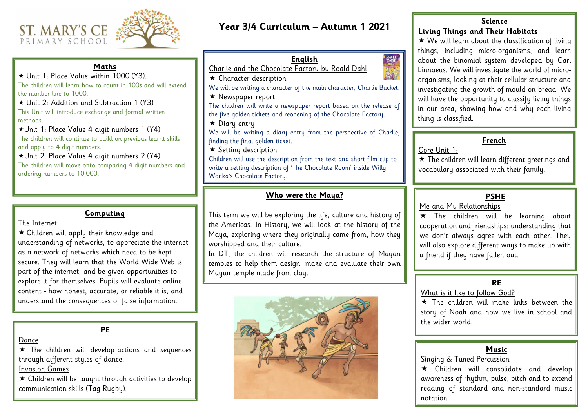# **Year 3/4 Curriculum – Autumn 1 2021**

ROALD<br>**DAHL** 

# **Who were the Maya?**

This term we will be exploring the life, culture and history of the Americas. In History, we will look at the history of the Maya, exploring where they originally came from, how they worshipped and their culture.

In DT, the children will research the structure of Mayan temples to help them design, make and evaluate their own Mayan temple made from clay.



**English**

Charlie and the Chocolate Factory by Roald Dahl

 $\star$  Character description

We will be writing a character of the main character, Charlie Bucket.

 $\star$  Newspaper report

The children will write a newspaper report based on the release of the five golden tickets and reopening of the Chocolate Factory.

 $\star$  Diary entry

 $\star$  We will learn about the classification of living things, including micro-organisms, and learn about the binomial system developed by Carl Linnaeus. We will investigate the world of microorganisms, looking at their cellular structure and investigating the growth of mould on bread. We will have the opportunity to classify living things in our area, showing how and why each living thing is classified.

We will be writing a diary entry from the perspective of Charlie, finding the final golden ticket.

 $\star$  Setting description

\* The children will be learning about cooperation and friendships: understanding that we don't always agree with each other. They will also explore different ways to make up with a friend if they have fallen out.

 $\star$  The children will make links between the story of Noah and how we live in school and the wider world.

Children will use the description from the text and short film clip to write a setting description of 'The Chocolate Room' inside Willy Wonka's Chocolate Factory.

#### **Science**

## **Living Things and Their Habitats**

 $\star$  The children will develop actions and sequences through different styles of dance.

# **PSHE**

Me and My Relationships

 $\star$  Children will be taught through activities to develop communication skills (Tag Rugby).

 $\star$  The children will learn different greetings and vocabulary associated with their family.

## **RE**

What is it like to follow God?

#### **Computing**

The Internet

 Children will apply their knowledge and understanding of networks, to appreciate the internet as a network of networks which need to be kept secure. They will learn that the World Wide Web is part of the internet, and be given opportunities to explore it for themselves. Pupils will evaluate online content - how honest, accurate, or reliable it is, and understand the consequences of false information.



## **Maths**

 Unit 1: Place Value within 1000 (Y3). The children will learn how to count in 100s and will extend the number line to 1000.

 Unit 2: Addition and Subtraction 1 (Y3) This Unit will introduce exchange and formal written methods.

Unit 1: Place Value 4 digit numbers 1 (Y4) The children will continue to build on previous learnt skills and apply to 4 digit numbers.

# Unit 2: Place Value 4 digit numbers 2 (Y4)

The children will move onto comparing 4 digit numbers and ordering numbers to 10,000.

# **PE**

Dance

Invasion Games

# **French**

Core Unit 1:

# **Music**

Singing & Tuned Percussion

 Children will consolidate and develop awareness of rhythm, pulse, pitch and to extend reading of standard and non-standard music

notation.